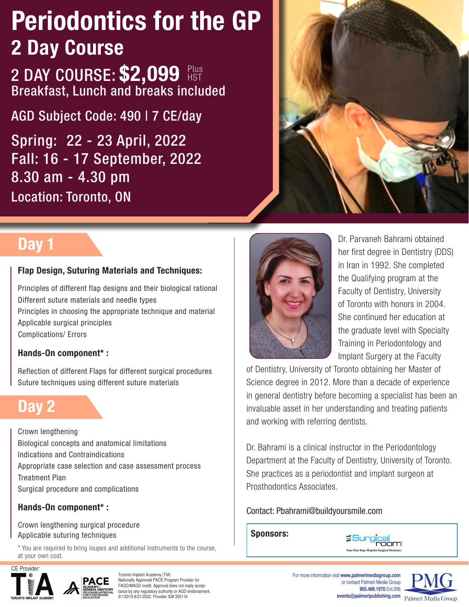# Periodontics for the GP 2 Day Course

2 DAY COURSE: \$2,099 Plus Breakfast, Lunch and breaks included

AGD Subject Code: 490 | 7 CE/day

Spring: 22 - 23 April, 2022 Fall: 16 - 17 September, 2022 8.30 am - 4.30 pm Location: Toronto, ON



### Day 1

### Flap Design, Suturing Materials and Techniques:

Principles of different flap designs and their biological rational Different suture materials and needle types Principles in choosing the appropriate technique and material Applicable surgical principles Complications/ Errors

#### Hands-On component\* :

Reflection of different Flaps for different surgical procedures Suture techniques using different suture materials

## Day 2

Crown lengthening Biological concepts and anatomical limitations Indications and Contraindications Appropriate case selection and case assessment process Treatment Plan Surgical procedure and complications

### Hands-On component\* :

Crown lengthening surgical procedure Applicable suturing techniques Sponsors:

\* You are required to bring loupes and additional instruments to the course, at your own cost.



Toronto Implant Academy (TIA) Nationally Approved PACE Program Provider for FAGD/MAGD credit. Approval does not imply acceptance by any regulatory authority or AGD endorsement. 9/1/2019-8/31/2022. Provider ID# 355116



Dr. Parvaneh Bahrami obtained her first degree in Dentistry (DDS) in Iran in 1992. She completed the Qualifying program at the Faculty of Dentistry, University of Toronto with honors in 2004. She continued her education at the graduate level with Specialty Training in Periodontology and Implant Surgery at the Faculty

of Dentistry, University of Toronto obtaining her Master of Science degree in 2012. More than a decade of experience in general dentistry before becoming a specialist has been an invaluable asset in her understanding and treating patients and working with referring dentists.

Dr. Bahrami is a clinical instructor in the Periodontology Department at the Faculty of Dentistry, University of Toronto. She practices as a periodontist and implant surgeon at Prosthodontics Associates.

### Contact: Pbahrami@buildyoursmile.com